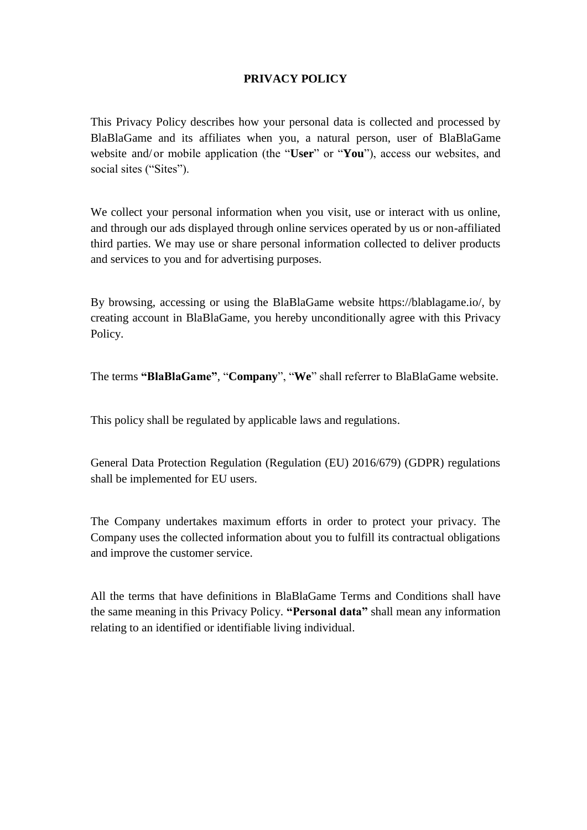# **PRIVACY POLICY**

This Privacy Policy describes how your personal data is collected and processed by BlaBlaGame and its affiliates when you, a natural person, user of BlaBlaGame website and/ or mobile application (the "**User**" or "**You**"), access our websites, and social sites ("Sites").

We collect your personal information when you visit, use or interact with us online, and through our ads displayed through online services operated by us or non-affiliated third parties. We may use or share personal information collected to deliver products and services to you and for advertising purposes.

By browsing, accessing or using the BlaBlaGame website https://blablagame.io/, by creating account in BlaBlaGame, you hereby unconditionally agree with this Privacy Policy.

```
The terms "BlaBlaGame", "Company", "We" shall referrer to BlaBlaGame website.
```
This policy shall be regulated by applicable laws and regulations.

General Data Protection Regulation (Regulation (EU) 2016/679) (GDPR) regulations shall be implemented for EU users.

The Company undertakes maximum efforts in order to protect your privacy. The Company uses the collected information about you to fulfill its contractual obligations and improve the customer service.

All the terms that have definitions in BlaBlaGame Terms and Conditions shall have the same meaning in this Privacy Policy. **"Personal data"** shall mean any information relating to an identified or identifiable living individual.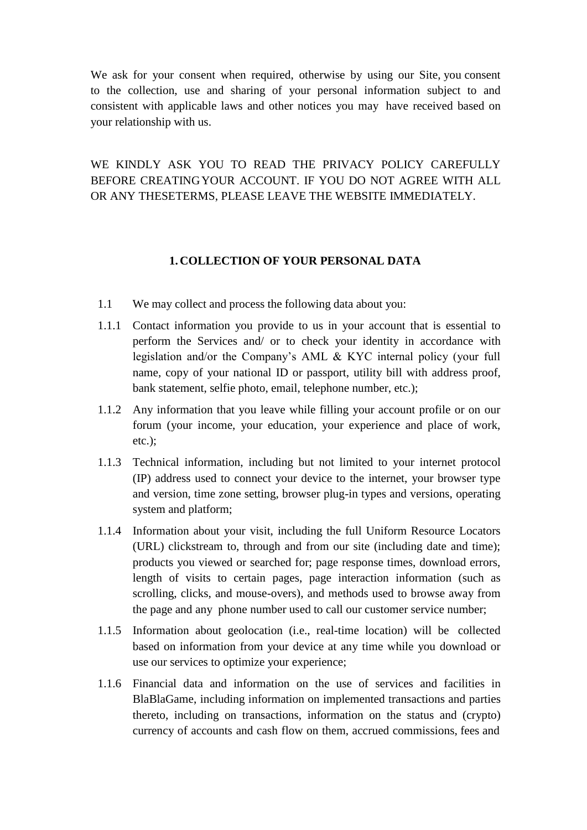We ask for your consent when required, otherwise by using our Site, you consent to the collection, use and sharing of your personal information subject to and consistent with applicable laws and other notices you may have received based on your relationship with us.

WE KINDLY ASK YOU TO READ THE PRIVACY POLICY CAREFULLY BEFORE CREATINGYOUR ACCOUNT. IF YOU DO NOT AGREE WITH ALL OR ANY THESETERMS, PLEASE LEAVE THE WEBSITE IMMEDIATELY.

## **1. COLLECTION OF YOUR PERSONAL DATA**

- 1.1 We may collect and process the following data about you:
- 1.1.1 Contact information you provide to us in your account that is essential to perform the Services and/ or to check your identity in accordance with legislation and/or the Company's AML & KYC internal policy (your full name, copy of your national ID or passport, utility bill with address proof, bank statement, selfie photo, email, telephone number, etc.);
- 1.1.2 Any information that you leave while filling your account profile or on our forum (your income, your education, your experience and place of work, etc.);
- 1.1.3 Technical information, including but not limited to your internet protocol (IP) address used to connect your device to the internet, your browser type and version, time zone setting, browser plug-in types and versions, operating system and platform;
- 1.1.4 Information about your visit, including the full Uniform Resource Locators (URL) clickstream to, through and from our site (including date and time); products you viewed or searched for; page response times, download errors, length of visits to certain pages, page interaction information (such as scrolling, clicks, and mouse-overs), and methods used to browse away from the page and any phone number used to call our customer service number;
- 1.1.5 Information about geolocation (i.e., real-time location) will be collected based on information from your device at any time while you download or use our services to optimize your experience;
- 1.1.6 Financial data and information on the use of services and facilities in BlaBlaGame, including information on implemented transactions and parties thereto, including on transactions, information on the status and (crypto) currency of accounts and cash flow on them, accrued commissions, fees and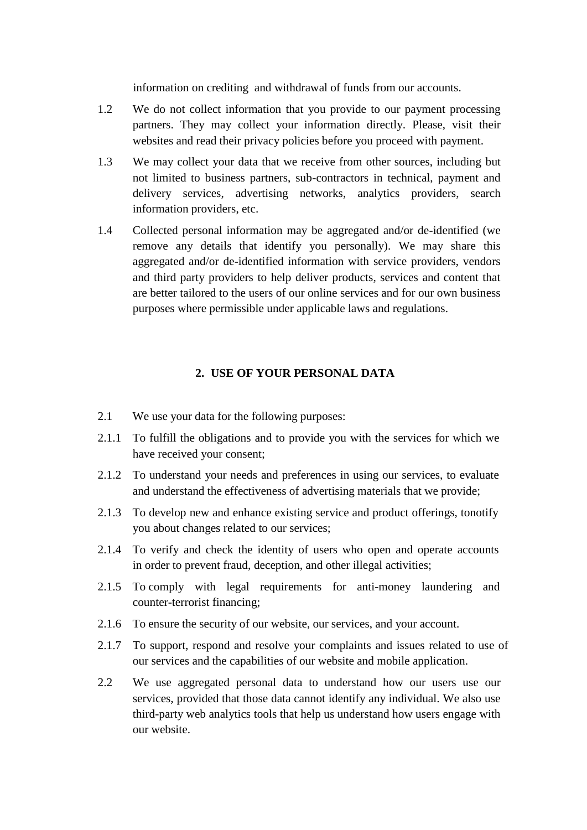information on crediting and withdrawal of funds from our accounts.

- 1.2 We do not collect information that you provide to our payment processing partners. They may collect your information directly. Please, visit their websites and read their privacy policies before you proceed with payment.
- 1.3 We may collect your data that we receive from other sources, including but not limited to business partners, sub-contractors in technical, payment and delivery services, advertising networks, analytics providers, search information providers, etc.
- 1.4 Collected personal information may be aggregated and/or de-identified (we remove any details that identify you personally). We may share this aggregated and/or de-identified information with service providers, vendors and third party providers to help deliver products, services and content that are better tailored to the users of our online services and for our own business purposes where permissible under applicable laws and regulations.

### **2. USE OF YOUR PERSONAL DATA**

- 2.1 We use your data for the following purposes:
- 2.1.1 To fulfill the obligations and to provide you with the services for which we have received your consent;
- 2.1.2 To understand your needs and preferences in using our services, to evaluate and understand the effectiveness of advertising materials that we provide;
- 2.1.3 To develop new and enhance existing service and product offerings, tonotify you about changes related to our services;
- 2.1.4 To verify and check the identity of users who open and operate accounts in order to prevent fraud, deception, and other illegal activities;
- 2.1.5 To comply with legal requirements for anti-money laundering and counter-terrorist financing;
- 2.1.6 To ensure the security of our website, our services, and your account.
- 2.1.7 To support, respond and resolve your complaints and issues related to use of our services and the capabilities of our website and mobile application.
- 2.2 We use aggregated personal data to understand how our users use our services, provided that those data cannot identify any individual. We also use third-party web analytics tools that help us understand how users engage with our website.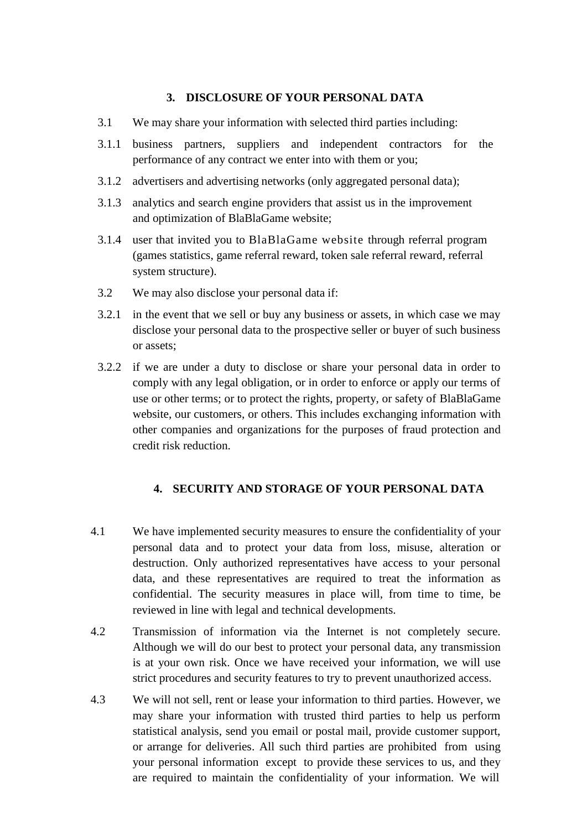### **3. DISCLOSURE OF YOUR PERSONAL DATA**

- 3.1 We may share your information with selected third parties including:
- 3.1.1 business partners, suppliers and independent contractors for the performance of any contract we enter into with them or you;
- 3.1.2 advertisers and advertising networks (only aggregated personal data);
- 3.1.3 analytics and search engine providers that assist us in the improvement and optimization of BlaBlaGame website;
- 3.1.4 user that invited you to BlaBlaGame website through referral program (games statistics, game referral reward, token sale referral reward, referral system structure).
- 3.2 We may also disclose your personal data if:
- 3.2.1 in the event that we sell or buy any business or assets, in which case we may disclose your personal data to the prospective seller or buyer of such business or assets;
- 3.2.2 if we are under a duty to disclose or share your personal data in order to comply with any legal obligation, or in order to enforce or apply our terms of use or other terms; or to protect the rights, property, or safety of BlaBlaGame website, our customers, or others. This includes exchanging information with other companies and organizations for the purposes of fraud protection and credit risk reduction.

#### **4. SECURITY AND STORAGE OF YOUR PERSONAL DATA**

- 4.1 We have implemented security measures to ensure the confidentiality of your personal data and to protect your data from loss, misuse, alteration or destruction. Only authorized representatives have access to your personal data, and these representatives are required to treat the information as confidential. The security measures in place will, from time to time, be reviewed in line with legal and technical developments.
- 4.2 Transmission of information via the Internet is not completely secure. Although we will do our best to protect your personal data, any transmission is at your own risk. Once we have received your information, we will use strict procedures and security features to try to prevent unauthorized access.
- 4.3 We will not sell, rent or lease your information to third parties. However, we may share your information with trusted third parties to help us perform statistical analysis, send you email or postal mail, provide customer support, or arrange for deliveries. All such third parties are prohibited from using your personal information except to provide these services to us, and they are required to maintain the confidentiality of your information. We will